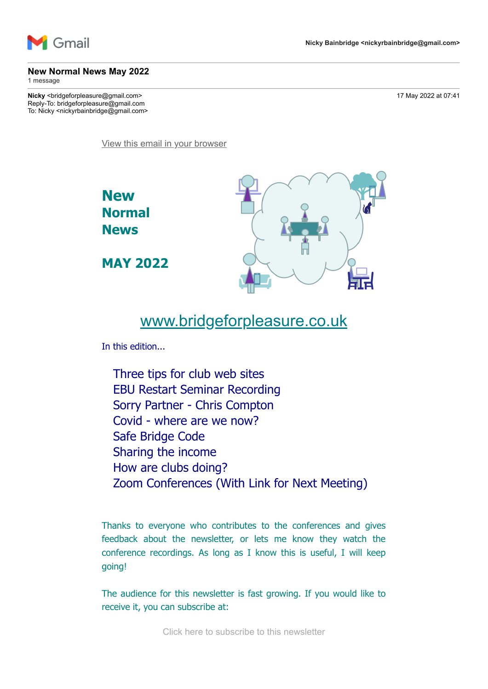

### **New Normal News May 2022**

1 message

**Nicky** <bridgeforpleasure@gmail.com> 17 May 2022 at 07:41 Reply-To: bridgeforpleasure@gmail.com To: Nicky <nickyrbainbridge@gmail.com>

[View this email in your browser](https://mailchi.mp/3162c786e737/new-normal-news-march-13658693?e=7736085cbd)



# [www.bridgeforpleasure.co.uk](https://rugbyvillagebridge.us16.list-manage.com/track/click?u=5ca90c1560213b9616359b892&id=36ecffa6c5&e=7736085cbd)

In this edition...

Three tips for club web sites EBU Restart Seminar Recording Sorry Partner - Chris Compton Covid - where are we now? Safe Bridge Code Sharing the income How are clubs doing? Zoom Conferences (With Link for Next Meeting)

Thanks to everyone who contributes to the conferences and gives feedback about the newsletter, or lets me know they watch the conference recordings. As long as I know this is useful, I will keep going!

The audience for this newsletter is fast growing. If you would like to receive it, you can subscribe at:

[Click here to subscribe to this newsletter](https://rugbyvillagebridge.us16.list-manage.com/track/click?u=5ca90c1560213b9616359b892&id=b7dcdedb6f&e=7736085cbd)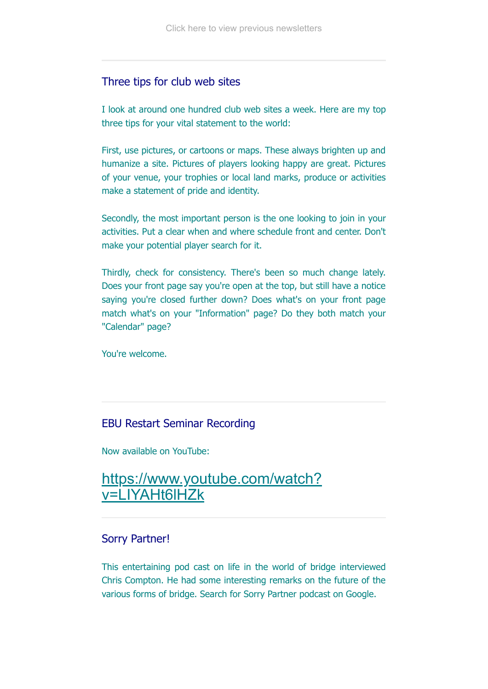### Three tips for club web sites

I look at around one hundred club web sites a week. Here are my top three tips for your vital statement to the world:

First, use pictures, or cartoons or maps. These always brighten up and humanize a site. Pictures of players looking happy are great. Pictures of your venue, your trophies or local land marks, produce or activities make a statement of pride and identity.

Secondly, the most important person is the one looking to join in your activities. Put a clear when and where schedule front and center. Don't make your potential player search for it.

Thirdly, check for consistency. There's been so much change lately. Does your front page say you're open at the top, but still have a notice saying you're closed further down? Does what's on your front page match what's on your "Information" page? Do they both match your "Calendar" page?

You're welcome.

### EBU Restart Seminar Recording

Now available on YouTube:

## [https://www.youtube.com/watch?](https://rugbyvillagebridge.us16.list-manage.com/track/click?u=5ca90c1560213b9616359b892&id=dc8a8511a3&e=7736085cbd) v=LIYAHt6lHZk

### Sorry Partner!

This entertaining pod cast on life in the world of bridge interviewed Chris Compton. He had some interesting remarks on the future of the various forms of bridge. Search for Sorry Partner podcast on Google.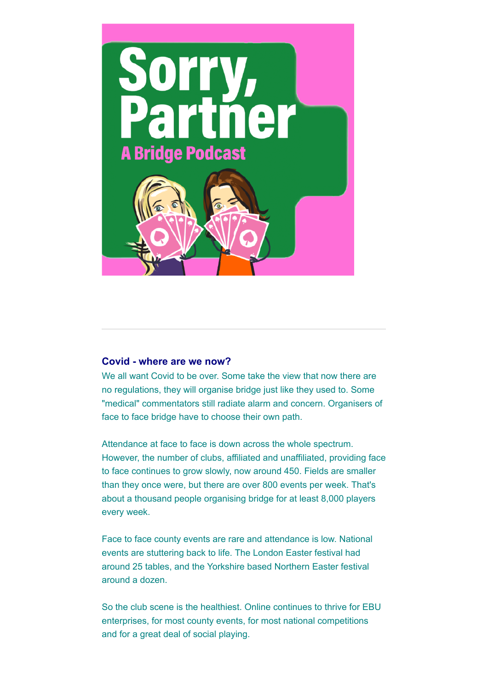

### **Covid - where are we now?**

We all want Covid to be over. Some take the view that now there are no regulations, they will organise bridge just like they used to. Some "medical" commentators still radiate alarm and concern. Organisers of face to face bridge have to choose their own path.

Attendance at face to face is down across the whole spectrum. However, the number of clubs, affiliated and unaffiliated, providing face to face continues to grow slowly, now around 450. Fields are smaller than they once were, but there are over 800 events per week. That's about a thousand people organising bridge for at least 8,000 players every week.

Face to face county events are rare and attendance is low. National events are stuttering back to life. The London Easter festival had around 25 tables, and the Yorkshire based Northern Easter festival around a dozen.

So the club scene is the healthiest. Online continues to thrive for EBU enterprises, for most county events, for most national competitions and for a great deal of social playing.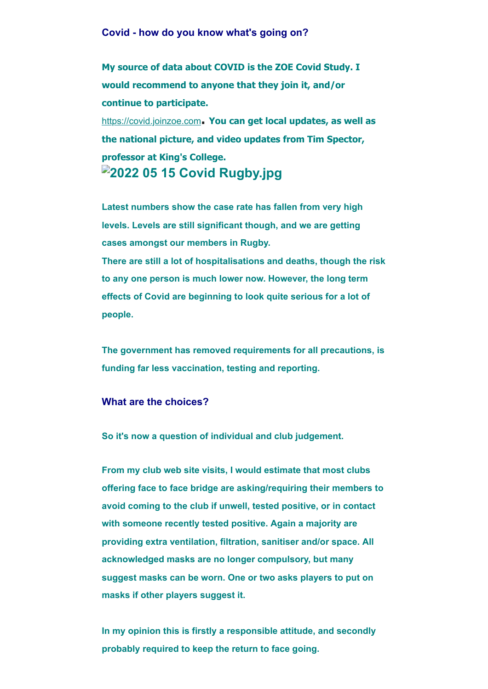#### **Covid - how do you know what's going on?**

**My source of data about COVID is the ZOE Covid Study. I would recommend to anyone that they join it, and/or continue to participate.**

[https://covid.joinzoe.com](https://rugbyvillagebridge.us16.list-manage.com/track/click?u=5ca90c1560213b9616359b892&id=8b87935a69&e=7736085cbd)**. You can get local updates, as well as the national picture, and video updates from Tim Spector, professor at King's College. 2022 05 15 Covid Rugby.jpg**

**Latest numbers show the case rate has fallen from very high levels. Levels are still significant though, and we are getting cases amongst our members in Rugby.**

**There are still a lot of hospitalisations and deaths, though the risk to any one person is much lower now. However, the long term effects of Covid are beginning to look quite serious for a lot of people.**

**The government has removed requirements for all precautions, is funding far less vaccination, testing and reporting.**

#### **What are the choices?**

**So it's now a question of individual and club judgement.**

**From my club web site visits, I would estimate that most clubs offering face to face bridge are asking/requiring their members to avoid coming to the club if unwell, tested positive, or in contact with someone recently tested positive. Again a majority are providing extra ventilation, filtration, sanitiser and/or space. All acknowledged masks are no longer compulsory, but many suggest masks can be worn. One or two asks players to put on masks if other players suggest it.**

**In my opinion this is firstly a responsible attitude, and secondly probably required to keep the return to face going.**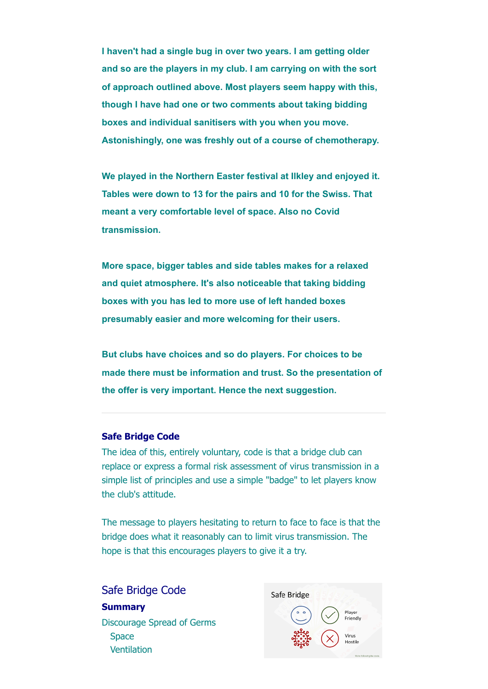**I haven't had a single bug in over two years. I am getting older and so are the players in my club. I am carrying on with the sort of approach outlined above. Most players seem happy with this, though I have had one or two comments about taking bidding boxes and individual sanitisers with you when you move. Astonishingly, one was freshly out of a course of chemotherapy.**

**We played in the Northern Easter festival at Ilkley and enjoyed it. Tables were down to 13 for the pairs and 10 for the Swiss. That meant a very comfortable level of space. Also no Covid transmission.**

**More space, bigger tables and side tables makes for a relaxed and quiet atmosphere. It's also noticeable that taking bidding boxes with you has led to more use of left handed boxes presumably easier and more welcoming for their users.**

**But clubs have choices and so do players. For choices to be made there must be information and trust. So the presentation of the offer is very important. Hence the next suggestion.**

#### **Safe Bridge Code**

The idea of this, entirely voluntary, code is that a bridge club can replace or express a formal risk assessment of virus transmission in a simple list of principles and use a simple "badge" to let players know the club's attitude.

The message to players hesitating to return to face to face is that the bridge does what it reasonably can to limit virus transmission. The hope is that this encourages players to give it a try.

Safe Bridge Code **Summary** Discourage Spread of Germs **Space Ventilation** 

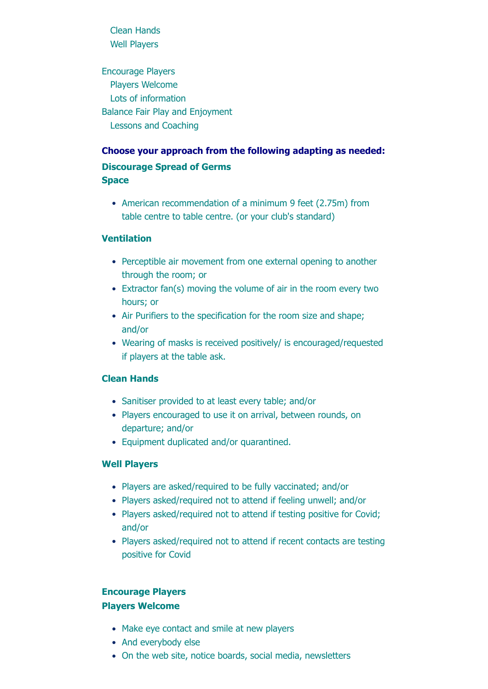Clean Hands Well Players

Encourage Players Players Welcome Lots of information Balance Fair Play and Enjoyment Lessons and Coaching

### **Choose your approach from the following adapting as needed:**

### **Discourage Spread of Germs Space**

• American recommendation of a minimum 9 feet (2.75m) from table centre to table centre. (or your club's standard)

### **Ventilation**

- Perceptible air movement from one external opening to another through the room; or
- Extractor fan(s) moving the volume of air in the room every two hours; or
- Air Purifiers to the specification for the room size and shape; and/or
- Wearing of masks is received positively/ is encouraged/requested if players at the table ask.

### **Clean Hands**

- Sanitiser provided to at least every table; and/or
- Players encouraged to use it on arrival, between rounds, on departure; and/or
- Equipment duplicated and/or quarantined.

### **Well Players**

- Players are asked/required to be fully vaccinated; and/or
- Players asked/required not to attend if feeling unwell; and/or
- Players asked/required not to attend if testing positive for Covid; and/or
- Players asked/required not to attend if recent contacts are testing positive for Covid

### **Encourage Players Players Welcome**

- Make eye contact and smile at new players
- And everybody else
- On the web site, notice boards, social media, newsletters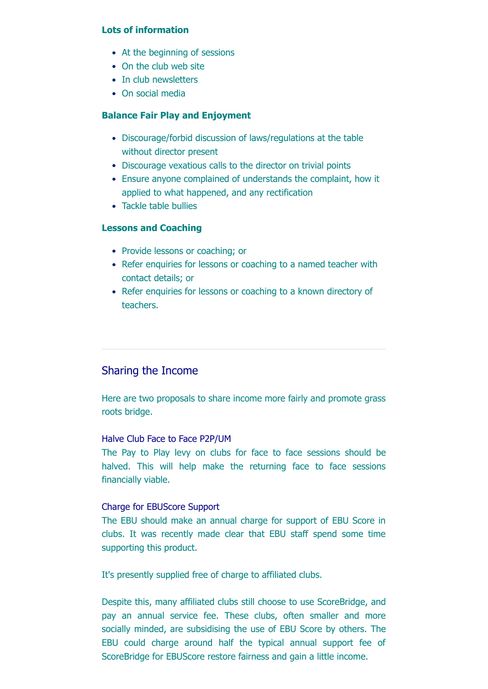### **Lots of information**

- At the beginning of sessions
- On the club web site
- In club newsletters
- On social media

#### **Balance Fair Play and Enjoyment**

- Discourage/forbid discussion of laws/regulations at the table without director present
- Discourage vexatious calls to the director on trivial points
- Ensure anyone complained of understands the complaint, how it applied to what happened, and any rectification
- Tackle table bullies

#### **Lessons and Coaching**

- Provide lessons or coaching; or
- Refer enquiries for lessons or coaching to a named teacher with contact details; or
- Refer enquiries for lessons or coaching to a known directory of teachers.

### Sharing the Income

Here are two proposals to share income more fairly and promote grass roots bridge.

### Halve Club Face to Face P2P/UM

The Pay to Play levy on clubs for face to face sessions should be halved. This will help make the returning face to face sessions financially viable.

### Charge for EBUScore Support

The EBU should make an annual charge for support of EBU Score in clubs. It was recently made clear that EBU staff spend some time supporting this product.

It's presently supplied free of charge to affiliated clubs.

Despite this, many affiliated clubs still choose to use ScoreBridge, and pay an annual service fee. These clubs, often smaller and more socially minded, are subsidising the use of EBU Score by others. The EBU could charge around half the typical annual support fee of ScoreBridge for EBUScore restore fairness and gain a little income.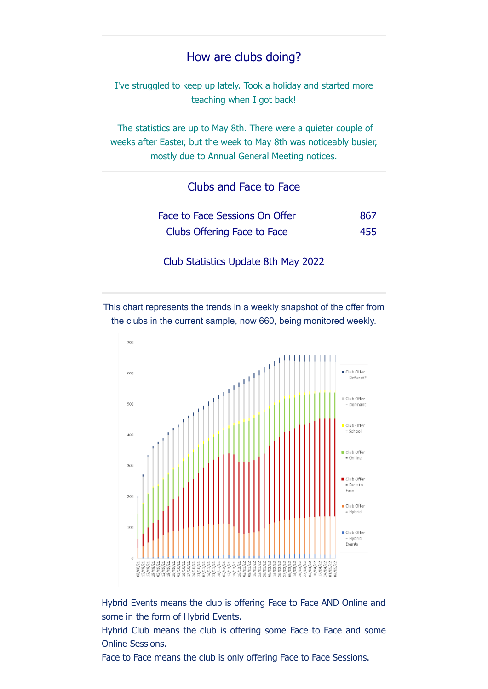## How are clubs doing?

I've struggled to keep up lately. Took a holiday and started more teaching when I got back!

The statistics are up to May 8th. There were a quieter couple of weeks after Easter, but the week to May 8th was noticeably busier, mostly due to Annual General Meeting notices.

Clubs and Face to Face

| Face to Face Sessions On Offer | -867 |
|--------------------------------|------|
| Clubs Offering Face to Face    | 455  |

Club Statistics Update 8th May 2022

This chart represents the trends in a weekly snapshot of the offer from the clubs in the current sample, now 660, being monitored weekly.



Hybrid Events means the club is offering Face to Face AND Online and some in the form of Hybrid Events.

Hybrid Club means the club is offering some Face to Face and some Online Sessions.

Face to Face means the club is only offering Face to Face Sessions.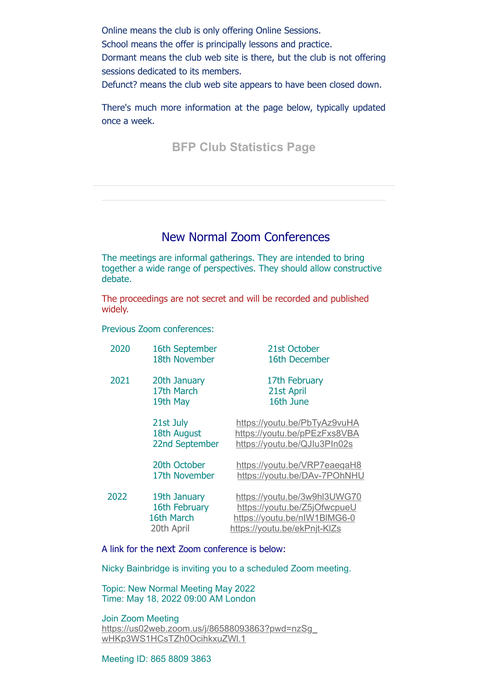Online means the club is only offering Online Sessions.

School means the offer is principally lessons and practice.

Dormant means the club web site is there, but the club is not offering sessions dedicated to its members.

Defunct? means the club web site appears to have been closed down.

There's much more information at the page below, typically updated once a week.

**[BFP Club Statistics Page](https://rugbyvillagebridge.us16.list-manage.com/track/click?u=5ca90c1560213b9616359b892&id=391ce7d5fc&e=7736085cbd)**

## New Normal Zoom Conferences

The meetings are informal gatherings. They are intended to bring together a wide range of perspectives. They should allow constructive debate.

The proceedings are not secret and will be recorded and published widely.

Previous Zoom conferences:

| 2020 | 16th September | 21st October                 |
|------|----------------|------------------------------|
|      | 18th November  | 16th December                |
| 2021 | 20th January   | 17th February                |
|      | 17th March     | 21st April                   |
|      | 19th May       | 16th June                    |
|      | 21st July      | https://youtu.be/PbTyAz9vuHA |
|      | 18th August    | https://youtu.be/pPEzFxs8VBA |
|      | 22nd September | https://youtu.be/QJlu3PIn02s |
|      | 20th October   | https://youtu.be/VRP7eaeqaH8 |
|      | 17th November  | https://youtu.be/DAv-7POhNHU |
| 2022 | 19th January   | https://youtu.be/3w9hl3UWG70 |
|      | 16th February  | https://youtu.be/Z5jOfwcpueU |
|      | 16th March     | https://youtu.be/nlW1BIMG6-0 |
|      | 20th April     | https://youtu.be/ekPnjt-KIZs |
|      |                |                              |

A link for the next Zoom conference is below:

Nicky Bainbridge is inviting you to a scheduled Zoom meeting.

Topic: New Normal Meeting May 2022 Time: May 18, 2022 09:00 AM London

Join Zoom Meeting [https://us02web.zoom.us/j/86588093863?pwd=nzSg\\_](https://rugbyvillagebridge.us16.list-manage.com/track/click?u=5ca90c1560213b9616359b892&id=a546153068&e=7736085cbd) wHKp3WS1HCsTZh0OcihkxuZWl.1

Meeting ID: 865 8809 3863